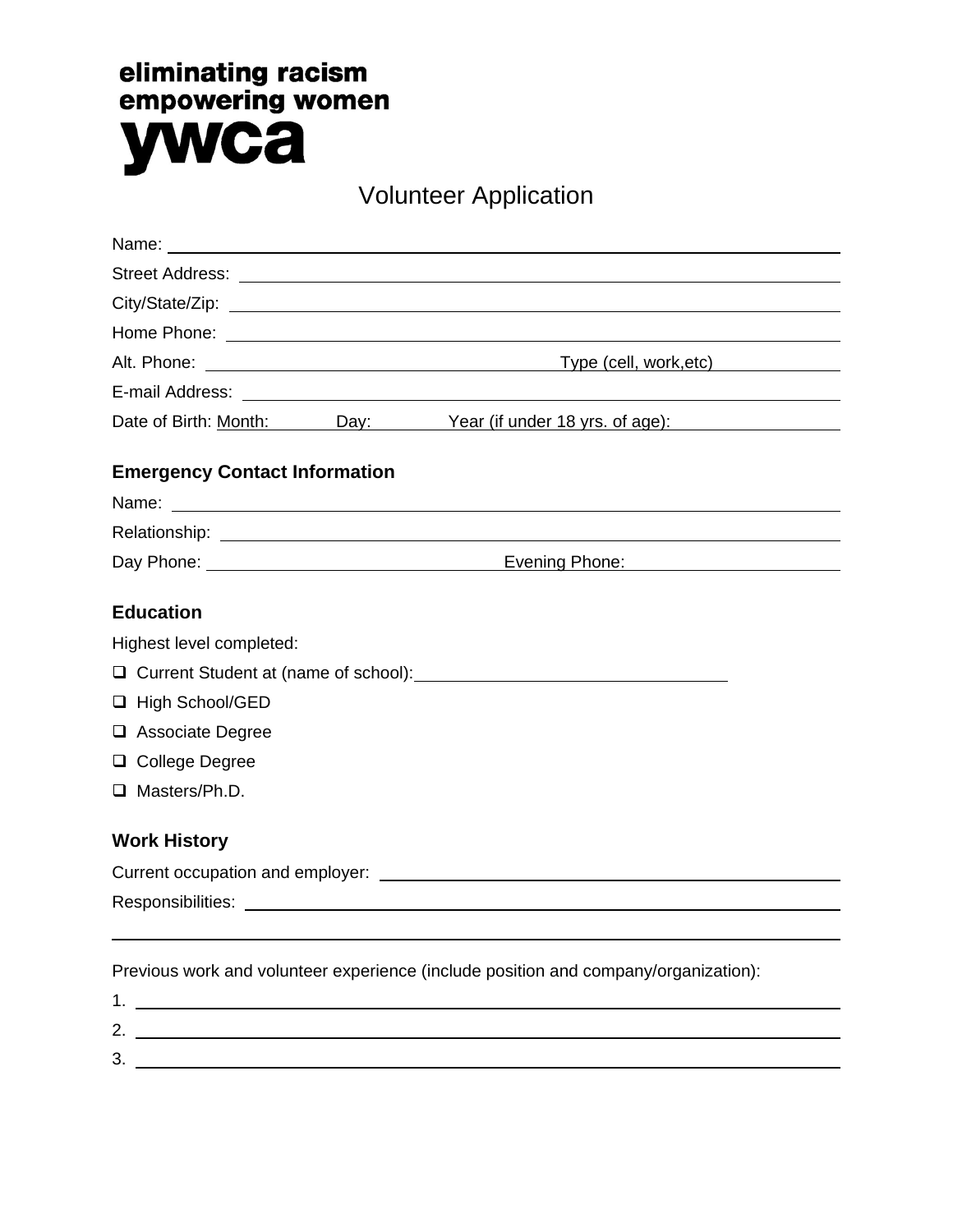# eliminating racism<br>empowering women ywca

# Volunteer Application

|                                      | Type (cell, work, etc)                                                                                                                                                                                                        |
|--------------------------------------|-------------------------------------------------------------------------------------------------------------------------------------------------------------------------------------------------------------------------------|
|                                      |                                                                                                                                                                                                                               |
|                                      | Date of Birth: <u>Month: Day: Year (if under 18 yrs. of age):</u>                                                                                                                                                             |
| <b>Emergency Contact Information</b> |                                                                                                                                                                                                                               |
|                                      | Name: Name: Name: Name: Name: Name: Name: Name: Name: Name: Name: Name: Name: Name: Name: Name: Name: Name: Name: Name: Name: Name: Name: Name: Name: Name: Name: Name: Name: Name: Name: Name: Name: Name: Name: Name: Name: |
|                                      |                                                                                                                                                                                                                               |
|                                      |                                                                                                                                                                                                                               |
| <b>Education</b>                     |                                                                                                                                                                                                                               |
| Highest level completed:             |                                                                                                                                                                                                                               |
|                                      | Q Current Student at (name of school): \\connection matter connection of school):                                                                                                                                             |
| □ High School/GED                    |                                                                                                                                                                                                                               |
| $\Box$ Associate Degree              |                                                                                                                                                                                                                               |
| □ College Degree                     |                                                                                                                                                                                                                               |
| □ Masters/Ph.D.                      |                                                                                                                                                                                                                               |
| <b>Work History</b>                  |                                                                                                                                                                                                                               |
|                                      |                                                                                                                                                                                                                               |
|                                      |                                                                                                                                                                                                                               |
|                                      |                                                                                                                                                                                                                               |
|                                      | Previous work and volunteer experience (include position and company/organization):                                                                                                                                           |

| c<br>◡ |  |
|--------|--|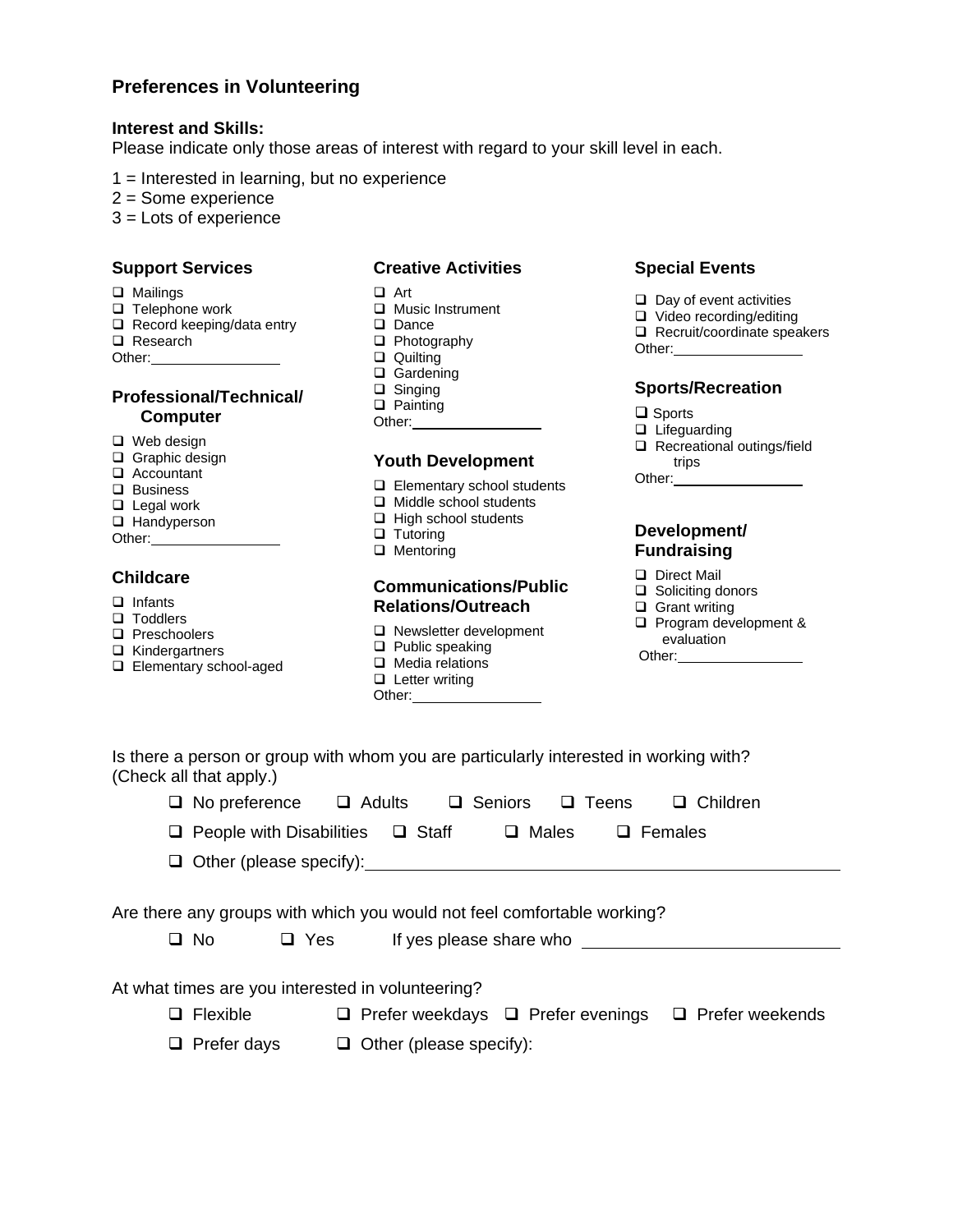### **Preferences in Volunteering**

#### **Interest and Skills:**

Please indicate only those areas of interest with regard to your skill level in each.

- 1 = Interested in learning, but no experience
- 2 = Some experience
- 3 = Lots of experience

#### **Support Services**

## Mailings

- **T**elephone work
- Record keeping/data entry
- □ Research
- Other:

#### **Professional/Technical/ Computer**

- Web design
- Graphic design
- Accountant
- **Q** Business
- $\Box$  Legal work
- **Handyperson** Other:

# **Childcare**

- □ Infants
- □ Toddlers
- **D** Preschoolers
- □ Kindergartners
- **Elementary school-aged**

#### **Creative Activities**

- □ Art
- **D** Music Instrument
- Dance
- **D** Photography
- Quilting
- Gardening
- □ Singing
- **D** Painting Other:

#### **Youth Development**

- **Elementary school students**
- □ Middle school students
- $\Box$  High school students
- $\Box$  Tutoring **Q** Mentoring

#### **Communications/Public Relations/Outreach**

- □ Newsletter development
- $\Box$  Public speaking
- $\Box$  Media relations
- $\Box$  Letter writing
- Other:

#### **Special Events**

- $\Box$  Day of event activities
- □ Video recording/editing
- Recruit/coordinate speakers Other:

#### **Sports/Recreation**

- □ Sports
- □ Lifeguarding

Recreational outings/field trips

Other:

#### **Development/ Fundraising**

- Direct Mail
- □ Soliciting donors
- Grant writing
- Program development & evaluation

Other:

Is there a person or group with whom you are particularly interested in working with? (Check all that apply.)

|                                                                                                                           | □ No preference □ Adults □ Seniors □ Teens □ Children                                   |            |                                |                         |  |  |  |
|---------------------------------------------------------------------------------------------------------------------------|-----------------------------------------------------------------------------------------|------------|--------------------------------|-------------------------|--|--|--|
|                                                                                                                           | $\Box$ People with Disabilities $\Box$ Staff $\Box$ Males $\Box$ Females                |            |                                |                         |  |  |  |
|                                                                                                                           |                                                                                         |            |                                |                         |  |  |  |
|                                                                                                                           | Are there any groups with which you would not feel comfortable working?<br>$\square$ No | $\Box$ Yes |                                | If yes please share who |  |  |  |
| At what times are you interested in volunteering?<br>$\Box$ Prefer weekdays $\Box$ Prefer evenings $\Box$ Prefer weekends |                                                                                         |            |                                |                         |  |  |  |
|                                                                                                                           | $\Box$ Flexible                                                                         |            |                                |                         |  |  |  |
|                                                                                                                           | $\Box$ Prefer days                                                                      |            | $\Box$ Other (please specify): |                         |  |  |  |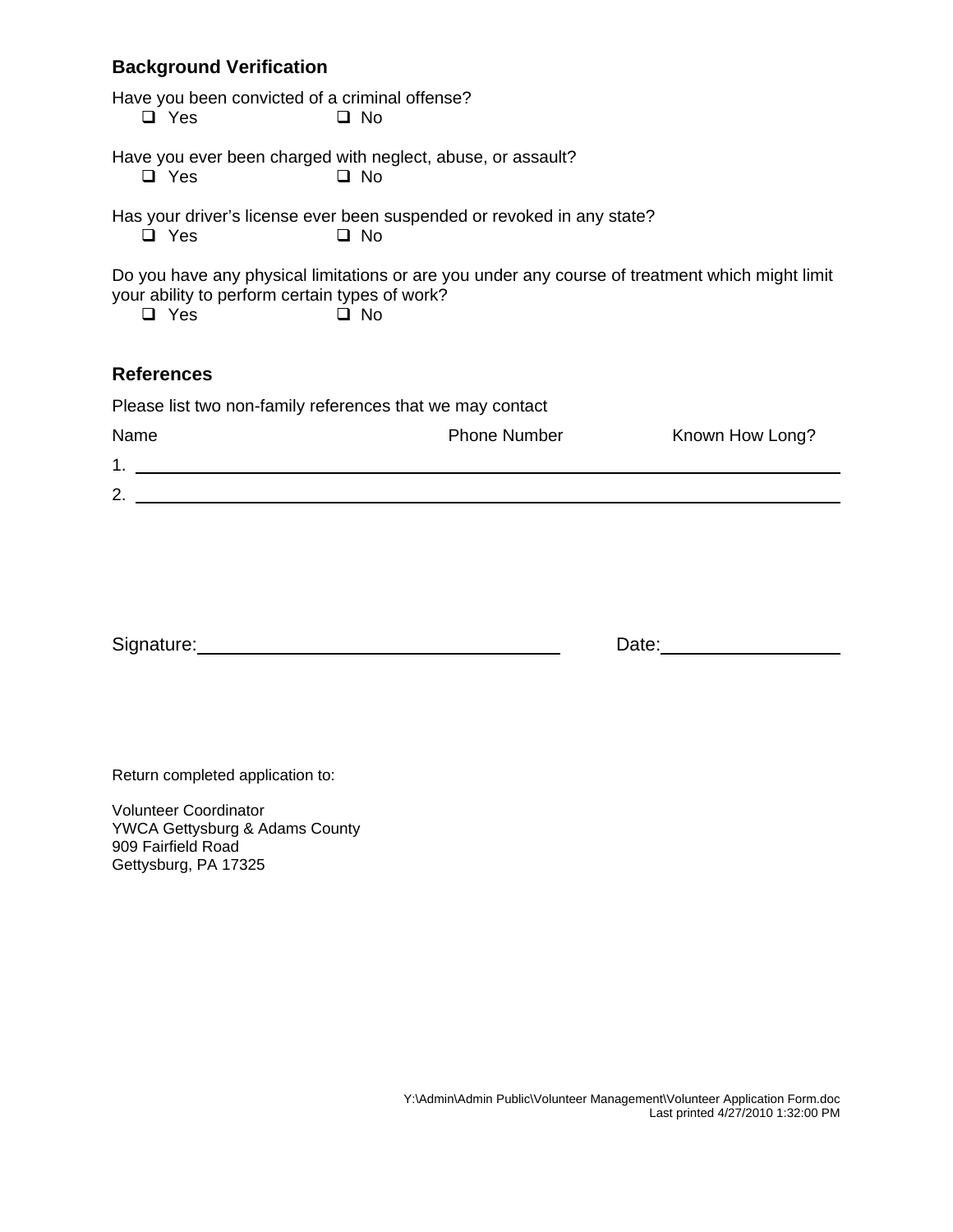## **Background Verification**

| Have you been convicted of a criminal offense?<br>$\Box$ Yes<br>□ No                                                                                            |           |                     |                 |  |  |  |  |
|-----------------------------------------------------------------------------------------------------------------------------------------------------------------|-----------|---------------------|-----------------|--|--|--|--|
|                                                                                                                                                                 |           |                     |                 |  |  |  |  |
| Have you ever been charged with neglect, abuse, or assault?<br>$\Box$ Yes                                                                                       | $\Box$ No |                     |                 |  |  |  |  |
| Has your driver's license ever been suspended or revoked in any state?<br>$\Box$ Yes<br>$\Box$ No                                                               |           |                     |                 |  |  |  |  |
| Do you have any physical limitations or are you under any course of treatment which might limit<br>your ability to perform certain types of work?<br>$\Box$ Yes | $\Box$ No |                     |                 |  |  |  |  |
| <b>References</b>                                                                                                                                               |           |                     |                 |  |  |  |  |
| Please list two non-family references that we may contact                                                                                                       |           |                     |                 |  |  |  |  |
| Name                                                                                                                                                            |           | <b>Phone Number</b> | Known How Long? |  |  |  |  |
|                                                                                                                                                                 |           |                     |                 |  |  |  |  |
| 2. $\qquad \qquad$                                                                                                                                              |           |                     |                 |  |  |  |  |
|                                                                                                                                                                 |           |                     |                 |  |  |  |  |
|                                                                                                                                                                 |           |                     |                 |  |  |  |  |

Signature: Date: Date: Date: Date: Date:

Return completed application to:

Volunteer Coordinator YWCA Gettysburg & Adams County 909 Fairfield Road Gettysburg, PA 17325